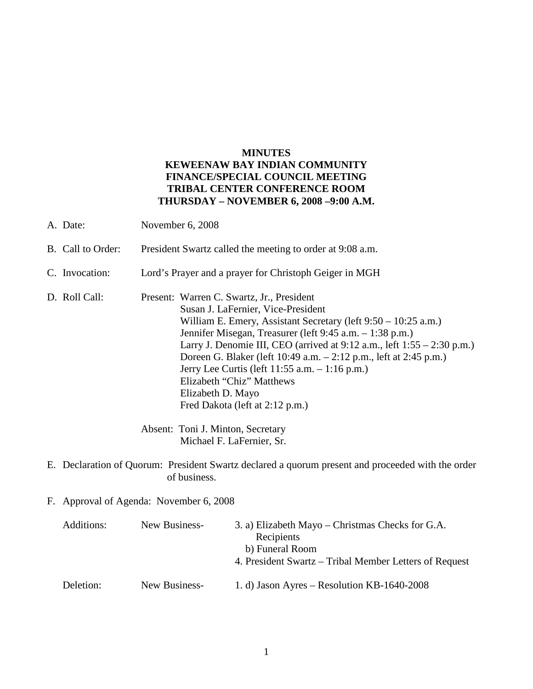# **MINUTES KEWEENAW BAY INDIAN COMMUNITY FINANCE/SPECIAL COUNCIL MEETING TRIBAL CENTER CONFERENCE ROOM THURSDAY – NOVEMBER 6, 2008 –9:00 A.M.**

- A. Date: November 6, 2008
- B. Call to Order: President Swartz called the meeting to order at 9:08 a.m.
- C. Invocation: Lord's Prayer and a prayer for Christoph Geiger in MGH
- D. Roll Call: Present: Warren C. Swartz, Jr., President Susan J. LaFernier, Vice-President William E. Emery, Assistant Secretary (left 9:50 – 10:25 a.m.) Jennifer Misegan, Treasurer (left 9:45 a.m. – 1:38 p.m.) Larry J. Denomie III, CEO (arrived at 9:12 a.m., left 1:55 – 2:30 p.m.) Doreen G. Blaker (left 10:49 a.m. – 2:12 p.m., left at 2:45 p.m.) Jerry Lee Curtis (left 11:55 a.m. – 1:16 p.m.) Elizabeth "Chiz" Matthews Elizabeth D. Mayo Fred Dakota (left at 2:12 p.m.)

Absent: Toni J. Minton, Secretary Michael F. LaFernier, Sr.

- E. Declaration of Quorum: President Swartz declared a quorum present and proceeded with the order of business.
- F. Approval of Agenda: November 6, 2008

| Additions: | New Business- | 3. a) Elizabeth Mayo – Christmas Checks for G.A.       |
|------------|---------------|--------------------------------------------------------|
|            |               | Recipients                                             |
|            |               | b) Funeral Room                                        |
|            |               | 4. President Swartz – Tribal Member Letters of Request |
| Deletion:  | New Business- | 1. d) Jason Ayres – Resolution KB-1640-2008            |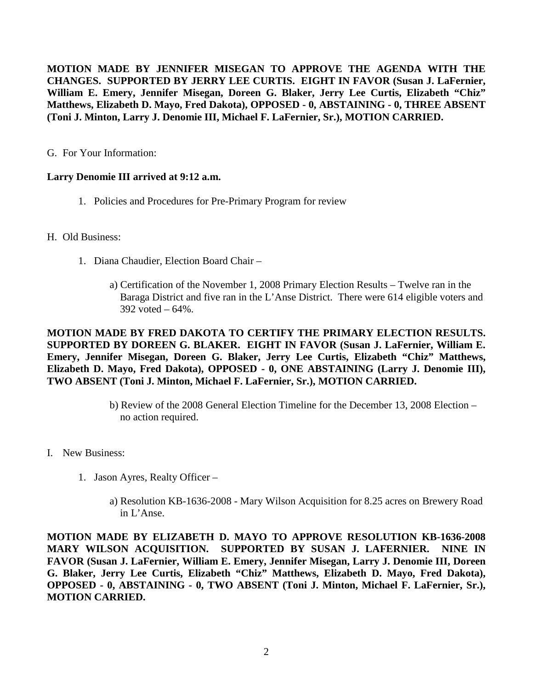**MOTION MADE BY JENNIFER MISEGAN TO APPROVE THE AGENDA WITH THE CHANGES. SUPPORTED BY JERRY LEE CURTIS. EIGHT IN FAVOR (Susan J. LaFernier, William E. Emery, Jennifer Misegan, Doreen G. Blaker, Jerry Lee Curtis, Elizabeth "Chiz" Matthews, Elizabeth D. Mayo, Fred Dakota), OPPOSED - 0, ABSTAINING - 0, THREE ABSENT (Toni J. Minton, Larry J. Denomie III, Michael F. LaFernier, Sr.), MOTION CARRIED.**

G. For Your Information:

# **Larry Denomie III arrived at 9:12 a.m.**

1. Policies and Procedures for Pre-Primary Program for review

## H. Old Business:

- 1. Diana Chaudier, Election Board Chair
	- a) Certification of the November 1, 2008 Primary Election Results Twelve ran in the Baraga District and five ran in the L'Anse District. There were 614 eligible voters and 392 voted – 64%.

**MOTION MADE BY FRED DAKOTA TO CERTIFY THE PRIMARY ELECTION RESULTS. SUPPORTED BY DOREEN G. BLAKER. EIGHT IN FAVOR (Susan J. LaFernier, William E. Emery, Jennifer Misegan, Doreen G. Blaker, Jerry Lee Curtis, Elizabeth "Chiz" Matthews, Elizabeth D. Mayo, Fred Dakota), OPPOSED - 0, ONE ABSTAINING (Larry J. Denomie III), TWO ABSENT (Toni J. Minton, Michael F. LaFernier, Sr.), MOTION CARRIED.**

- b) Review of the 2008 General Election Timeline for the December 13, 2008 Election no action required.
- I. New Business:
	- 1. Jason Ayres, Realty Officer
		- a) Resolution KB-1636-2008 Mary Wilson Acquisition for 8.25 acres on Brewery Road in L'Anse.

**MOTION MADE BY ELIZABETH D. MAYO TO APPROVE RESOLUTION KB-1636-2008 MARY WILSON ACQUISITION. SUPPORTED BY SUSAN J. LAFERNIER. NINE IN FAVOR (Susan J. LaFernier, William E. Emery, Jennifer Misegan, Larry J. Denomie III, Doreen G. Blaker, Jerry Lee Curtis, Elizabeth "Chiz" Matthews, Elizabeth D. Mayo, Fred Dakota), OPPOSED - 0, ABSTAINING - 0, TWO ABSENT (Toni J. Minton, Michael F. LaFernier, Sr.), MOTION CARRIED.**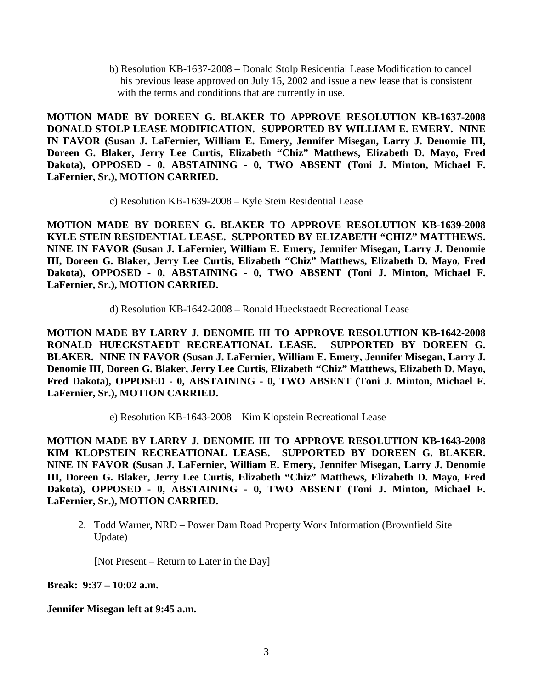b) Resolution KB-1637-2008 – Donald Stolp Residential Lease Modification to cancel his previous lease approved on July 15, 2002 and issue a new lease that is consistent with the terms and conditions that are currently in use.

**MOTION MADE BY DOREEN G. BLAKER TO APPROVE RESOLUTION KB-1637-2008 DONALD STOLP LEASE MODIFICATION. SUPPORTED BY WILLIAM E. EMERY. NINE IN FAVOR (Susan J. LaFernier, William E. Emery, Jennifer Misegan, Larry J. Denomie III, Doreen G. Blaker, Jerry Lee Curtis, Elizabeth "Chiz" Matthews, Elizabeth D. Mayo, Fred Dakota), OPPOSED - 0, ABSTAINING - 0, TWO ABSENT (Toni J. Minton, Michael F. LaFernier, Sr.), MOTION CARRIED.**

c) Resolution KB-1639-2008 – Kyle Stein Residential Lease

**MOTION MADE BY DOREEN G. BLAKER TO APPROVE RESOLUTION KB-1639-2008 KYLE STEIN RESIDENTIAL LEASE. SUPPORTED BY ELIZABETH "CHIZ" MATTHEWS. NINE IN FAVOR (Susan J. LaFernier, William E. Emery, Jennifer Misegan, Larry J. Denomie III, Doreen G. Blaker, Jerry Lee Curtis, Elizabeth "Chiz" Matthews, Elizabeth D. Mayo, Fred Dakota), OPPOSED - 0, ABSTAINING - 0, TWO ABSENT (Toni J. Minton, Michael F. LaFernier, Sr.), MOTION CARRIED.**

d) Resolution KB-1642-2008 – Ronald Hueckstaedt Recreational Lease

**MOTION MADE BY LARRY J. DENOMIE III TO APPROVE RESOLUTION KB-1642-2008 RONALD HUECKSTAEDT RECREATIONAL LEASE. SUPPORTED BY DOREEN G. BLAKER. NINE IN FAVOR (Susan J. LaFernier, William E. Emery, Jennifer Misegan, Larry J. Denomie III, Doreen G. Blaker, Jerry Lee Curtis, Elizabeth "Chiz" Matthews, Elizabeth D. Mayo, Fred Dakota), OPPOSED - 0, ABSTAINING - 0, TWO ABSENT (Toni J. Minton, Michael F. LaFernier, Sr.), MOTION CARRIED.**

e) Resolution KB-1643-2008 – Kim Klopstein Recreational Lease

**MOTION MADE BY LARRY J. DENOMIE III TO APPROVE RESOLUTION KB-1643-2008 KIM KLOPSTEIN RECREATIONAL LEASE. SUPPORTED BY DOREEN G. BLAKER. NINE IN FAVOR (Susan J. LaFernier, William E. Emery, Jennifer Misegan, Larry J. Denomie III, Doreen G. Blaker, Jerry Lee Curtis, Elizabeth "Chiz" Matthews, Elizabeth D. Mayo, Fred Dakota), OPPOSED - 0, ABSTAINING - 0, TWO ABSENT (Toni J. Minton, Michael F. LaFernier, Sr.), MOTION CARRIED.**

2. Todd Warner, NRD – Power Dam Road Property Work Information (Brownfield Site Update)

[Not Present – Return to Later in the Day]

**Break: 9:37 – 10:02 a.m.**

**Jennifer Misegan left at 9:45 a.m.**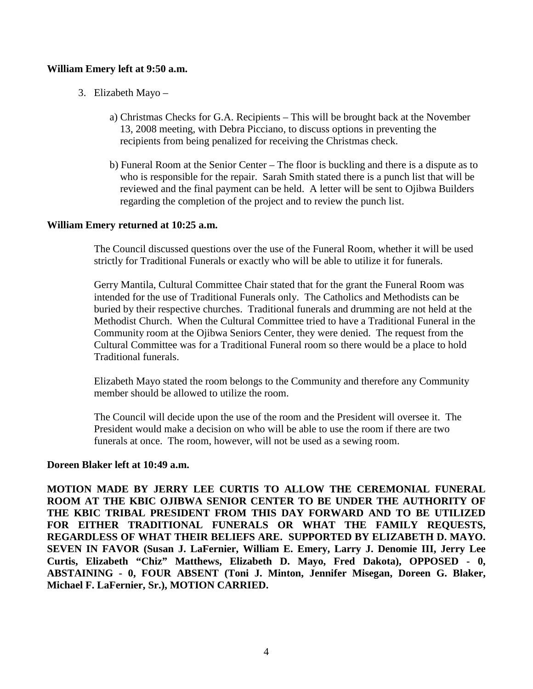### **William Emery left at 9:50 a.m.**

- 3. Elizabeth Mayo
	- a) Christmas Checks for G.A. Recipients This will be brought back at the November 13, 2008 meeting, with Debra Picciano, to discuss options in preventing the recipients from being penalized for receiving the Christmas check.
	- b) Funeral Room at the Senior Center The floor is buckling and there is a dispute as to who is responsible for the repair. Sarah Smith stated there is a punch list that will be reviewed and the final payment can be held. A letter will be sent to Ojibwa Builders regarding the completion of the project and to review the punch list.

### **William Emery returned at 10:25 a.m.**

The Council discussed questions over the use of the Funeral Room, whether it will be used strictly for Traditional Funerals or exactly who will be able to utilize it for funerals.

Gerry Mantila, Cultural Committee Chair stated that for the grant the Funeral Room was intended for the use of Traditional Funerals only. The Catholics and Methodists can be buried by their respective churches. Traditional funerals and drumming are not held at the Methodist Church. When the Cultural Committee tried to have a Traditional Funeral in the Community room at the Ojibwa Seniors Center, they were denied. The request from the Cultural Committee was for a Traditional Funeral room so there would be a place to hold Traditional funerals.

Elizabeth Mayo stated the room belongs to the Community and therefore any Community member should be allowed to utilize the room.

The Council will decide upon the use of the room and the President will oversee it. The President would make a decision on who will be able to use the room if there are two funerals at once. The room, however, will not be used as a sewing room.

### **Doreen Blaker left at 10:49 a.m.**

**MOTION MADE BY JERRY LEE CURTIS TO ALLOW THE CEREMONIAL FUNERAL ROOM AT THE KBIC OJIBWA SENIOR CENTER TO BE UNDER THE AUTHORITY OF THE KBIC TRIBAL PRESIDENT FROM THIS DAY FORWARD AND TO BE UTILIZED FOR EITHER TRADITIONAL FUNERALS OR WHAT THE FAMILY REQUESTS, REGARDLESS OF WHAT THEIR BELIEFS ARE. SUPPORTED BY ELIZABETH D. MAYO. SEVEN IN FAVOR (Susan J. LaFernier, William E. Emery, Larry J. Denomie III, Jerry Lee Curtis, Elizabeth "Chiz" Matthews, Elizabeth D. Mayo, Fred Dakota), OPPOSED - 0, ABSTAINING - 0, FOUR ABSENT (Toni J. Minton, Jennifer Misegan, Doreen G. Blaker, Michael F. LaFernier, Sr.), MOTION CARRIED.**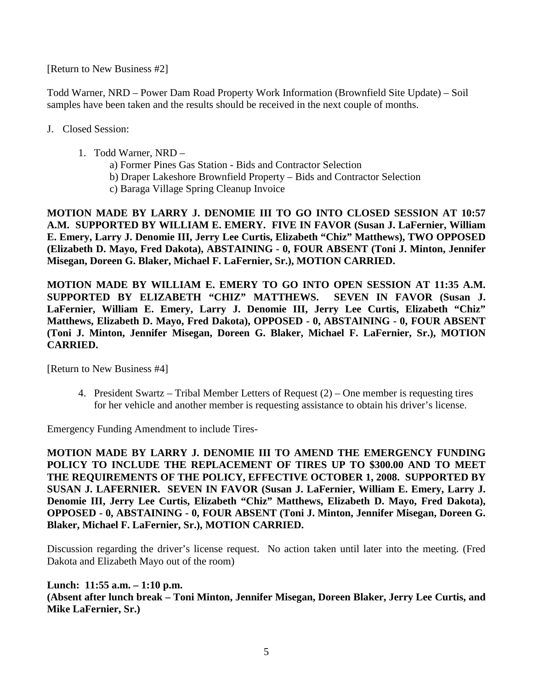[Return to New Business #2]

Todd Warner, NRD – Power Dam Road Property Work Information (Brownfield Site Update) – Soil samples have been taken and the results should be received in the next couple of months.

- J. Closed Session:
	- 1. Todd Warner, NRD
		- a) Former Pines Gas Station Bids and Contractor Selection
		- b) Draper Lakeshore Brownfield Property Bids and Contractor Selection
		- c) Baraga Village Spring Cleanup Invoice

**MOTION MADE BY LARRY J. DENOMIE III TO GO INTO CLOSED SESSION AT 10:57 A.M. SUPPORTED BY WILLIAM E. EMERY. FIVE IN FAVOR (Susan J. LaFernier, William E. Emery, Larry J. Denomie III, Jerry Lee Curtis, Elizabeth "Chiz" Matthews), TWO OPPOSED (Elizabeth D. Mayo, Fred Dakota), ABSTAINING - 0, FOUR ABSENT (Toni J. Minton, Jennifer Misegan, Doreen G. Blaker, Michael F. LaFernier, Sr.), MOTION CARRIED.**

**MOTION MADE BY WILLIAM E. EMERY TO GO INTO OPEN SESSION AT 11:35 A.M. SUPPORTED BY ELIZABETH "CHIZ" MATTHEWS. SEVEN IN FAVOR (Susan J. LaFernier, William E. Emery, Larry J. Denomie III, Jerry Lee Curtis, Elizabeth "Chiz" Matthews, Elizabeth D. Mayo, Fred Dakota), OPPOSED - 0, ABSTAINING - 0, FOUR ABSENT (Toni J. Minton, Jennifer Misegan, Doreen G. Blaker, Michael F. LaFernier, Sr.), MOTION CARRIED.**

[Return to New Business #4]

4. President Swartz – Tribal Member Letters of Request (2) – One member is requesting tires for her vehicle and another member is requesting assistance to obtain his driver's license.

Emergency Funding Amendment to include Tires-

**MOTION MADE BY LARRY J. DENOMIE III TO AMEND THE EMERGENCY FUNDING POLICY TO INCLUDE THE REPLACEMENT OF TIRES UP TO \$300.00 AND TO MEET THE REQUIREMENTS OF THE POLICY, EFFECTIVE OCTOBER 1, 2008. SUPPORTED BY SUSAN J. LAFERNIER. SEVEN IN FAVOR (Susan J. LaFernier, William E. Emery, Larry J. Denomie III, Jerry Lee Curtis, Elizabeth "Chiz" Matthews, Elizabeth D. Mayo, Fred Dakota), OPPOSED - 0, ABSTAINING - 0, FOUR ABSENT (Toni J. Minton, Jennifer Misegan, Doreen G. Blaker, Michael F. LaFernier, Sr.), MOTION CARRIED.**

Discussion regarding the driver's license request. No action taken until later into the meeting. (Fred Dakota and Elizabeth Mayo out of the room)

**Lunch: 11:55 a.m. – 1:10 p.m. (Absent after lunch break – Toni Minton, Jennifer Misegan, Doreen Blaker, Jerry Lee Curtis, and Mike LaFernier, Sr.)**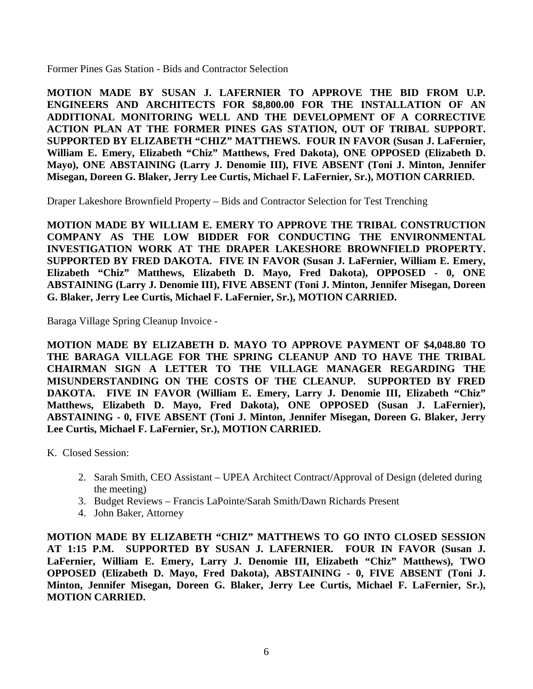Former Pines Gas Station - Bids and Contractor Selection

**MOTION MADE BY SUSAN J. LAFERNIER TO APPROVE THE BID FROM U.P. ENGINEERS AND ARCHITECTS FOR \$8,800.00 FOR THE INSTALLATION OF AN ADDITIONAL MONITORING WELL AND THE DEVELOPMENT OF A CORRECTIVE ACTION PLAN AT THE FORMER PINES GAS STATION, OUT OF TRIBAL SUPPORT. SUPPORTED BY ELIZABETH "CHIZ" MATTHEWS. FOUR IN FAVOR (Susan J. LaFernier, William E. Emery, Elizabeth "Chiz" Matthews, Fred Dakota), ONE OPPOSED (Elizabeth D. Mayo), ONE ABSTAINING (Larry J. Denomie III), FIVE ABSENT (Toni J. Minton, Jennifer Misegan, Doreen G. Blaker, Jerry Lee Curtis, Michael F. LaFernier, Sr.), MOTION CARRIED.**

Draper Lakeshore Brownfield Property – Bids and Contractor Selection for Test Trenching

**MOTION MADE BY WILLIAM E. EMERY TO APPROVE THE TRIBAL CONSTRUCTION COMPANY AS THE LOW BIDDER FOR CONDUCTING THE ENVIRONMENTAL INVESTIGATION WORK AT THE DRAPER LAKESHORE BROWNFIELD PROPERTY. SUPPORTED BY FRED DAKOTA. FIVE IN FAVOR (Susan J. LaFernier, William E. Emery, Elizabeth "Chiz" Matthews, Elizabeth D. Mayo, Fred Dakota), OPPOSED - 0, ONE ABSTAINING (Larry J. Denomie III), FIVE ABSENT (Toni J. Minton, Jennifer Misegan, Doreen G. Blaker, Jerry Lee Curtis, Michael F. LaFernier, Sr.), MOTION CARRIED.**

Baraga Village Spring Cleanup Invoice -

**MOTION MADE BY ELIZABETH D. MAYO TO APPROVE PAYMENT OF \$4,048.80 TO THE BARAGA VILLAGE FOR THE SPRING CLEANUP AND TO HAVE THE TRIBAL CHAIRMAN SIGN A LETTER TO THE VILLAGE MANAGER REGARDING THE MISUNDERSTANDING ON THE COSTS OF THE CLEANUP. SUPPORTED BY FRED DAKOTA. FIVE IN FAVOR (William E. Emery, Larry J. Denomie III, Elizabeth "Chiz" Matthews, Elizabeth D. Mayo, Fred Dakota), ONE OPPOSED (Susan J. LaFernier), ABSTAINING - 0, FIVE ABSENT (Toni J. Minton, Jennifer Misegan, Doreen G. Blaker, Jerry Lee Curtis, Michael F. LaFernier, Sr.), MOTION CARRIED.**

K. Closed Session:

- 2. Sarah Smith, CEO Assistant UPEA Architect Contract/Approval of Design (deleted during the meeting)
- 3. Budget Reviews Francis LaPointe/Sarah Smith/Dawn Richards Present
- 4. John Baker, Attorney

**MOTION MADE BY ELIZABETH "CHIZ" MATTHEWS TO GO INTO CLOSED SESSION AT 1:15 P.M. SUPPORTED BY SUSAN J. LAFERNIER. FOUR IN FAVOR (Susan J. LaFernier, William E. Emery, Larry J. Denomie III, Elizabeth "Chiz" Matthews), TWO OPPOSED (Elizabeth D. Mayo, Fred Dakota), ABSTAINING - 0, FIVE ABSENT (Toni J. Minton, Jennifer Misegan, Doreen G. Blaker, Jerry Lee Curtis, Michael F. LaFernier, Sr.), MOTION CARRIED.**